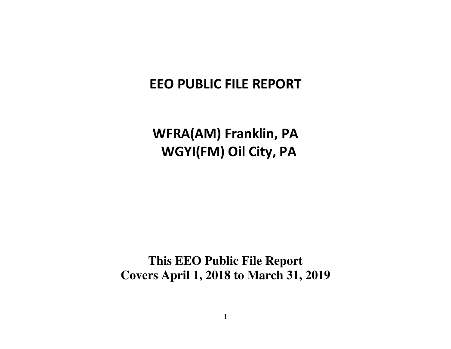# **EEO PUBLIC FILE REPORT**

**WFRA(AM) Franklin, PA WGYI(FM) Oil City, PA** 

**This EEO Public File Report Covers April 1, 2018 to March 31, 2019**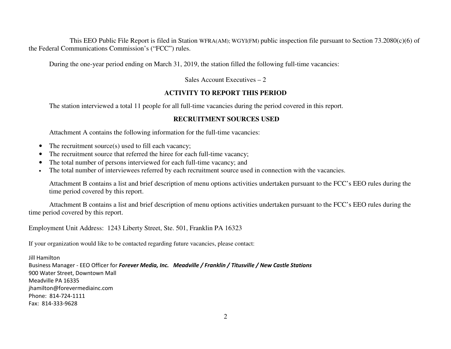This EEO Public File Report is filed in Station WFRA(AM); WGYI(FM) public inspection file pursuant to Section 73.2080(c)(6) of the Federal Communications Commission's ("FCC") rules.

During the one-year period ending on March 31, 2019, the station filled the following full-time vacancies:

Sales Account Executives – 2

### **ACTIVITY TO REPORT THIS PERIOD**

The station interviewed a total 11 people for all full-time vacancies during the period covered in this report.

### **RECRUITMENT SOURCES USED**

Attachment A contains the following information for the full-time vacancies:

- $\bullet$ The recruitment source(s) used to fill each vacancy;
- •The recruitment source that referred the hiree for each full-time vacancy;
- •The total number of persons interviewed for each full-time vacancy; and
- •The total number of interviewees referred by each recruitment source used in connection with the vacancies.

Attachment B contains a list and brief description of menu options activities undertaken pursuant to the FCC's EEO rules during the time period covered by this report.

 Attachment B contains a list and brief description of menu options activities undertaken pursuant to the FCC's EEO rules during the time period covered by this report.

Employment Unit Address: 1243 Liberty Street, Ste. 501, Franklin PA 16323

If your organization would like to be contacted regarding future vacancies, please contact:

Jill Hamilton Business Manager - EEO Officer for *Forever Media, Inc. Meadville / Franklin / Titusville / New Castle Stations* 900 Water Street, Downtown MallMeadville PA 16335 jhamilton@forevermediainc.com Phone: 814-724-1111 Fax: 814-333-9628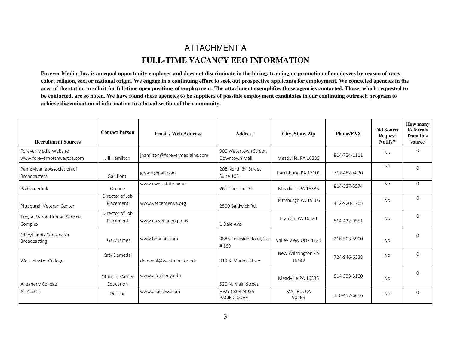# ATTACHMENT A **FULL-TIME VACANCY EEO INFORMATION**

**Forever Media, Inc. is an equal opportunity employer and does not discriminate in the hiring, training or promotion of employees by reason of race, color, religion, sex, or national origin. We engage in a continuing effort to seek out prospective applicants for employment. We contacted agencies in the area of the station to solicit for full-time open positions of employment. The attachment exemplifies those agencies contacted. Those, which requested tobe contacted, are so noted. We have found these agencies to be suppliers of possible employment candidates in our continuing outreach program to achieve dissemination of information to a broad section of the community.** 

| <b>Recruitment Sources</b>                          | <b>Contact Person</b>         | <b>Email / Web Address</b>    | <b>Address</b>                         | City, State, Zip           | <b>Phone/FAX</b> | <b>Did Source</b><br><b>Request</b><br>Notify? | How many<br><b>Referrals</b><br>from this<br>source |
|-----------------------------------------------------|-------------------------------|-------------------------------|----------------------------------------|----------------------------|------------------|------------------------------------------------|-----------------------------------------------------|
| Forever Media Website<br>www.forevernorthwestpa.com | Jill Hamilton                 | jhamilton@forevermediainc.com | 900 Watertown Street,<br>Downtown Mall | Meadville, PA 16335        | 814-724-1111     | <b>No</b>                                      | 0                                                   |
| Pennsylvania Association of<br><b>Broadcasters</b>  | Gail Ponti                    | gponti@pab.com                | 208 North 3rd Street<br>Suite 105      | Harrisburg, PA 17101       | 717-482-4820     | <b>No</b>                                      | 0                                                   |
| PA Careerlink                                       | On-line                       | www.cwds.state.pa.us          | 260 Chestnut St.                       | Meadville PA 16335         | 814-337-5574     | No                                             | $\Omega$                                            |
| Pittsburgh Veteran Center                           | Director of Job<br>Placement  | www.vetcenter.va.org          | 2500 Baldwick Rd.                      | Pittsburgh PA 15205        | 412-920-1765     | No                                             | 0                                                   |
| Troy A. Wood Human Service<br>Complex               | Director of Job<br>Placement  | www.co.venango.pa.us          | 1 Dale Ave.                            | Franklin PA 16323          | 814-432-9551     | No                                             | 0                                                   |
| Ohio/Illinois Centers for<br>Broadcasting           | Gary James                    | www.beonair.com               | 9885 Rockside Road, Ste<br>#160        | Valley View OH 44125       | 216-503-5900     | <b>No</b>                                      | 0                                                   |
| Westminster College                                 | Katy Demedal                  | demedal@westminster.edu       | 319 S. Market Street                   | New Wilmington PA<br>16142 | 724-946-6338     | <b>No</b>                                      | $\Omega$                                            |
| Allegheny College                                   | Office of Career<br>Education | www.allegheny.edu             | 520 N. Main Street                     | Meadville PA 16335         | 814-333-3100     | No                                             | 0                                                   |
| All Access                                          | On-Line                       | www.allaccess.com             | HWY C30324955<br>PACIFIC COAST         | MALIBU, CA<br>90265        | 310-457-6616     | <b>No</b>                                      | $\Omega$                                            |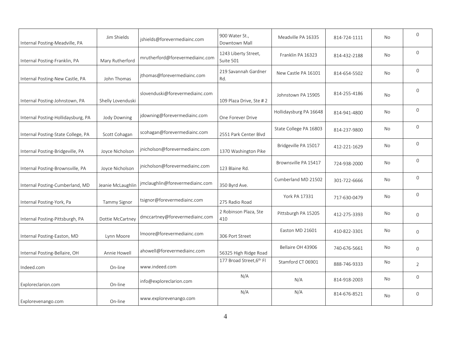| Internal Posting-Meadville, PA     | Jim Shields         | jshields@forevermediainc.com    | 900 Water St.,<br>Downtown Mall   | Meadville PA 16335     | 814-724-1111 | <b>No</b> | $\mathbf{0}$   |
|------------------------------------|---------------------|---------------------------------|-----------------------------------|------------------------|--------------|-----------|----------------|
| Internal Posting-Franklin, PA      | Mary Rutherford     | mrutherford@forevermediainc.com | 1243 Liberty Street,<br>Suite 501 | Franklin PA 16323      | 814-432-2188 | No        | $\Omega$       |
| Internal Posting-New Castle, PA    | John Thomas         | jthomas@forevermediainc.com     | 219 Savannah Gardner<br>Rd.       | New Castle PA 16101    | 814-654-5502 | No        | $\mathbf{0}$   |
| Internal Posting-Johnstown, PA     | Shelly Lovenduski   | slovenduski@forevermediainc.com | 109 Plaza Drive, Ste #2           | Johnstown PA 15905     | 814-255-4186 | No        | $\Omega$       |
| Internal Posting-Hollidaysburg, PA | Jody Downing        | jdowning@forevermediainc.com    | One Forever Drive                 | Hollidaysburg PA 16648 | 814-941-4800 | No        | $\mathbf 0$    |
| Internal Posting-State College, PA | Scott Cohagan       | scohagan@forevermediainc.com    | 2551 Park Center Blvd             | State College PA 16803 | 814-237-9800 | No        | $\mathbf{0}$   |
| Internal Posting-Bridgeville, PA   | Joyce Nicholson     | jnicholson@forevermediainc.com  | 1370 Washington Pike              | Bridgeville PA 15017   | 412-221-1629 | No        | $\overline{0}$ |
| Internal Posting-Brownsville, PA   | Joyce Nicholson     | jnicholson@forevermediainc.com  | 123 Blaine Rd.                    | Brownsville PA 15417   | 724-938-2000 | No        | $\mathbf{0}$   |
| Internal Posting-Cumberland, MD    | Jeanie McLaughlin   | jmclaughlin@forevermediainc.com | 350 Byrd Ave.                     | Cumberland MD 21502    | 301-722-6666 | No        | $\mathbf{0}$   |
| Internal Posting-York, Pa          | <b>Tammy Signor</b> | tsignor@forevermediainc.com     | 275 Radio Road                    | York PA 17331          | 717-630-0479 | No        | $\Omega$       |
| Internal Posting-Pittsburgh, PA    | Dottie McCartney    | dmccartney@forevermediainc.com  | 2 Robinson Plaza, Ste<br>410      | Pittsburgh PA 15205    | 412-275-3393 | No        | $\mathbf 0$    |
| Internal Posting-Easton, MD        | Lynn Moore          | Imoore@forevermediainc.com      | 306 Port Street                   | Easton MD 21601        | 410-822-3301 | No        | $\Omega$       |
| Internal Posting-Bellaire, OH      | Annie Howell        | ahowell@forevermediainc.com     | 56325 High Ridge Road             | Bellaire OH 43906      | 740-676-5661 | No        | $\mathbf 0$    |
| Indeed.com                         | On-line             | www.indeed.com                  | 177 Broad Street, 6th Fl          | Stamford CT 06901      | 888-746-9333 | No        | 2              |
| Exploreclarion.com                 | On-line             | info@exploreclarion.com         | N/A                               | N/A                    | 814-918-2003 | No        | $\mathbf{0}$   |
| Explorevenango.com                 | On-line             | www.explorevenango.com          | N/A                               | N/A                    | 814-676-8521 | No        | $\mathbf{0}$   |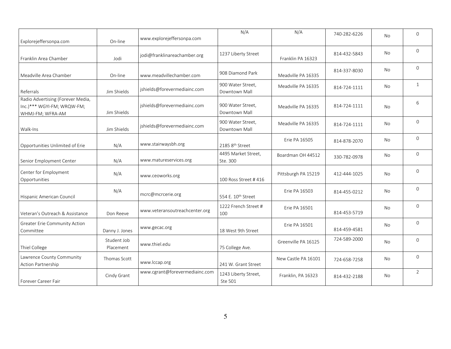| Explorejeffersonpa.com                                                              | On-line                  | www.explorejeffersonpa.com     | N/A                                | N/A                  | 740-282-6226 | No             | $\mathbf{0}$   |
|-------------------------------------------------------------------------------------|--------------------------|--------------------------------|------------------------------------|----------------------|--------------|----------------|----------------|
| Franklin Area Chamber                                                               | Jodi                     | jodi@franklinareachamber.org   | 1237 Liberty Street                | Franklin PA 16323    | 814-432-5843 | <b>No</b>      | $\Omega$       |
| Meadville Area Chamber                                                              | On-line                  | www.meadvillechamber.com       | 908 Diamond Park                   | Meadville PA 16335   | 814-337-8030 | No             | $\mathbf 0$    |
| Referrals                                                                           | Jim Shields              | jshields@forevermediainc.com   | 900 Water Street,<br>Downtown Mall | Meadville PA 16335   | 814-724-1111 | No             | $\mathbf{1}$   |
| Radio Advertising (Forever Media,<br>Inc.)*** WGYI-FM; WRQW-FM;<br>WHMJ-FM; WFRA-AM | Jim Shields              | jshields@forevermediainc.com   | 900 Water Street,<br>Downtown Mall | Meadville PA 16335   | 814-724-1111 | <b>No</b>      | 6              |
| Walk-Ins                                                                            | Jim Shields              | jshields@forevermediainc.com   | 900 Water Street,<br>Downtown Mall | Meadville PA 16335   | 814-724-1111 | No             | $\mathbf{0}$   |
| Opportunities Unlimited of Erie                                                     | N/A                      | www.stairwaysbh.org            | 2185 8th Street                    | <b>Erie PA 16505</b> | 814-878-2070 | N <sub>0</sub> | $\Omega$       |
| Senior Employment Center                                                            | N/A                      | www.matureservices.org         | 4495 Market Street,<br>Ste. 300    | Boardman OH 44512    | 330-782-0978 | No             | $\overline{0}$ |
| Center for Employment<br>Opportunities                                              | N/A                      | www.ceoworks.org               | 100 Ross Street #416               | Pittsburgh PA 15219  | 412-444-1025 | No             | $\mathbf 0$    |
| Hispanic American Council                                                           | N/A                      | mcrc@mcrcerie.org              | 554 E. 10 <sup>th</sup> Street     | Erie PA 16503        | 814-455-0212 | No             | $\Omega$       |
| Veteran's Outreach & Assistance                                                     | Don Reeve                | www.veteransoutreachcenter.org | 1222 French Street #<br>100        | Erie PA 16501        | 814-453-5719 | No             | $\mathbf{0}$   |
| <b>Greater Erie Community Action</b><br>Committee                                   | Danny J. Jones           | www.gecac.org                  | 18 West 9th Street                 | Erie PA 16501        | 814-459-4581 | No             | $\Omega$       |
| Thiel College                                                                       | Student Job<br>Placement | www.thiel.edu                  | 75 College Ave.                    | Greenville PA 16125  | 724-589-2000 | No             | $\overline{0}$ |
| Lawrence County Community<br>Action Partnership                                     | Thomas Scott             | www.lccap.org                  | 241 W. Grant Street                | New Castle PA 16101  | 724-658-7258 | No             | $\overline{0}$ |
| Forever Career Fair                                                                 | Cindy Grant              | www.cgrant@forevermediainc.com | 1243 Liberty Street,<br>Ste 501    | Franklin, PA 16323   | 814-432-2188 | No             | $\overline{2}$ |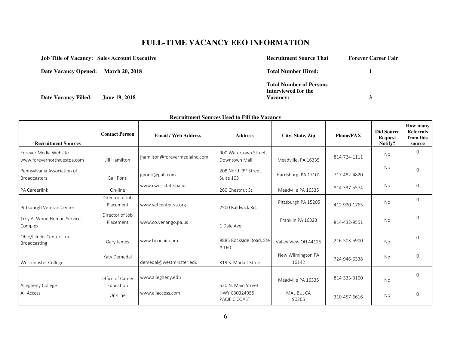# **FULL-TIME VACANCY EEO INFORMATION**

| <b>Job Title of Vacancy: Sales Account Executive</b> | <b>Recruitment Source That</b> | <b>Forever Career Fair</b> |
|------------------------------------------------------|--------------------------------|----------------------------|
| Date Vacancy Opened: March 20, 2018                  | <b>Total Number Hired:</b>     |                            |
|                                                      | <b>Total Number of Persons</b> |                            |
|                                                      | Interviewed for the            |                            |
| <b>Date Vacancy Filled:</b><br><b>June 19, 2018</b>  | <b>Vacancy:</b>                |                            |

|                                                     |                               |                               | Recruitment Sources Used to Fill the Vacancy |                            |                  |                                                |                                                     |
|-----------------------------------------------------|-------------------------------|-------------------------------|----------------------------------------------|----------------------------|------------------|------------------------------------------------|-----------------------------------------------------|
| <b>Recruitment Sources</b>                          | <b>Contact Person</b>         | <b>Email / Web Address</b>    | <b>Address</b>                               | City, State, Zip           | <b>Phone/FAX</b> | <b>Did Source</b><br><b>Request</b><br>Notify? | How many<br><b>Referrals</b><br>from this<br>source |
| Forever Media Website<br>www.forevernorthwestpa.com | Jill Hamilton                 | jhamilton@forevermediainc.com | 900 Watertown Street,<br>Downtown Mall       | Meadville, PA 16335        | 814-724-1111     | No                                             | $\Omega$                                            |
| Pennsylvania Association of<br><b>Broadcasters</b>  | Gail Ponti                    | gponti@pab.com                | 208 North 3rd Street<br>Suite 105            | Harrisburg, PA 17101       | 717-482-4820     | No.                                            | $\Omega$                                            |
| <b>PA Careerlink</b>                                | On-line                       | www.cwds.state.pa.us          | 260 Chestnut St.                             | Meadville PA 16335         | 814-337-5574     | No                                             | $\overline{0}$                                      |
| Pittsburgh Veteran Center                           | Director of Job<br>Placement  | www.vetcenter.va.org          | 2500 Baldwick Rd.                            | Pittsburgh PA 15205        | 412-920-1765     | No                                             | $\overline{0}$                                      |
| Troy A. Wood Human Service<br>Complex               | Director of Job<br>Placement  | www.co.venango.pa.us          | 1 Dale Ave.                                  | Franklin PA 16323          | 814-432-9551     | No                                             | $\Omega$                                            |
| Ohio/Illinois Centers for<br>Broadcasting           | Gary James                    | www.beonair.com               | 9885 Rockside Road, Ste<br>#160              | Valley View OH 44125       | 216-503-5900     | No                                             | $\Omega$                                            |
| Westminster College                                 | Katy Demedal                  | demedal@westminster.edu       | 319 S. Market Street                         | New Wilmington PA<br>16142 | 724-946-6338     | No                                             | $\Omega$                                            |
| Allegheny College                                   | Office of Career<br>Education | www.allegheny.edu             | 520 N. Main Street                           | Meadville PA 16335         | 814-333-3100     | No                                             | $\Omega$                                            |
| All Access                                          | On-Line                       | www.allaccess.com             | HWY C30324955<br>PACIFIC COAST               | MALIBU, CA<br>90265        | 310-457-6616     | No                                             | 0                                                   |

#### **Recruitment Sources Used to Fill the Vacancy**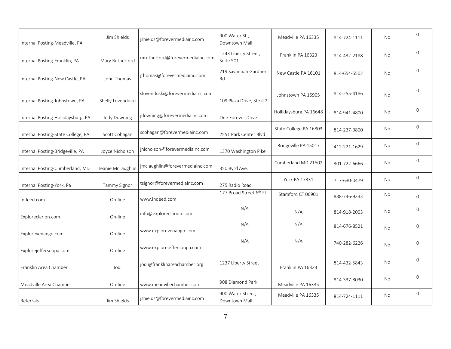| Internal Posting-Meadville, PA     | Jim Shields         | jshields@forevermediainc.com    | 900 Water St.,<br>Downtown Mall    | Meadville PA 16335     | 814-724-1111 | <b>No</b> | $\mathbf{0}$ |
|------------------------------------|---------------------|---------------------------------|------------------------------------|------------------------|--------------|-----------|--------------|
| Internal Posting-Franklin, PA      | Mary Rutherford     | mrutherford@forevermediainc.com | 1243 Liberty Street,<br>Suite 501  | Franklin PA 16323      | 814-432-2188 | No        | $\mathbf{0}$ |
| Internal Posting-New Castle, PA    | John Thomas         | jthomas@forevermediainc.com     | 219 Savannah Gardner<br>Rd.        | New Castle PA 16101    | 814-654-5502 | No        | $\mathbf 0$  |
| Internal Posting-Johnstown, PA     | Shelly Lovenduski   | slovenduski@forevermediainc.com | 109 Plaza Drive, Ste #2            | Johnstown PA 15905     | 814-255-4186 | No        | $\Omega$     |
| Internal Posting-Hollidaysburg, PA | Jody Downing        | jdowning@forevermediainc.com    | One Forever Drive                  | Hollidaysburg PA 16648 | 814-941-4800 | No        | $\mathbf{0}$ |
| Internal Posting-State College, PA | Scott Cohagan       | scohagan@forevermediainc.com    | 2551 Park Center Blvd              | State College PA 16803 | 814-237-9800 | No        | $\Omega$     |
| Internal Posting-Bridgeville, PA   | Joyce Nicholson     | jnicholson@forevermediainc.com  | 1370 Washington Pike               | Bridgeville PA 15017   | 412-221-1629 | No        | $\mathbf{0}$ |
| Internal Posting-Cumberland, MD    | Jeanie McLaughlin   | jmclaughlin@forevermediainc.com | 350 Byrd Ave.                      | Cumberland MD 21502    | 301-722-6666 | No        | $\mathbf{0}$ |
| Internal Posting-York, Pa          | <b>Tammy Signor</b> | tsignor@forevermediainc.com     | 275 Radio Road                     | York PA 17331          | 717-630-0479 | No        | $\Omega$     |
| Indeed.com                         | On-line             | www.indeed.com                  | 177 Broad Street, 6th Fl           | Stamford CT 06901      | 888-746-9333 | <b>No</b> | $\mathbf{0}$ |
| Exploreclarion.com                 | On-line             | info@exploreclarion.com         | N/A                                | N/A                    | 814-918-2003 | No        | $\Omega$     |
| Explorevenango.com                 | On-line             | www.explorevenango.com          | N/A                                | N/A                    | 814-676-8521 | No        | $\mathbf{0}$ |
| Explorejeffersonpa.com             | On-line             | www.explorejeffersonpa.com      | N/A                                | N/A                    | 740-282-6226 | No        | $\Omega$     |
| Franklin Area Chamber              | Jodi                | jodi@franklinareachamber.org    | 1237 Liberty Street                | Franklin PA 16323      | 814-432-5843 | No        | $\Omega$     |
| Meadville Area Chamber             | On-line             | www.meadvillechamber.com        | 908 Diamond Park                   | Meadville PA 16335     | 814-337-8030 | No        | $\mathbf{0}$ |
| Referrals                          | Jim Shields         | jshields@forevermediainc.com    | 900 Water Street,<br>Downtown Mall | Meadville PA 16335     | 814-724-1111 | No        | $\mathbf{0}$ |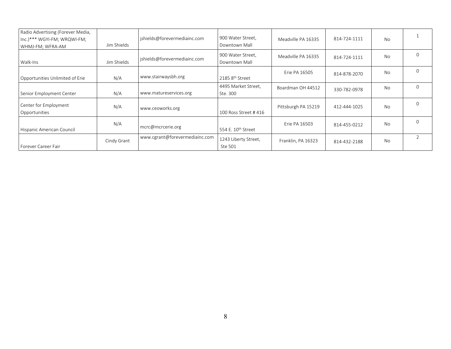| Radio Advertising (Forever Media,<br>Inc.)*** WGYI-FM; WRQWI-FM;<br>WHMJ-FM; WFRA-AM | Jim Shields | jshields@forevermediainc.com   | 900 Water Street,<br>Downtown Mall | Meadville PA 16335  | 814-724-1111 | <b>No</b> |          |
|--------------------------------------------------------------------------------------|-------------|--------------------------------|------------------------------------|---------------------|--------------|-----------|----------|
| Walk-Ins                                                                             | Jim Shields | jshields@forevermediainc.com   | 900 Water Street,<br>Downtown Mall | Meadville PA 16335  | 814-724-1111 | No        | $\Omega$ |
| Opportunities Unlimited of Erie                                                      | N/A         | www.stairwaysbh.org            | 2185 8 <sup>th</sup> Street        | Erie PA 16505       | 814-878-2070 | No        | $\Omega$ |
| Senior Employment Center                                                             | N/A         | www.matureservices.org         | 4495 Market Street,<br>Ste. 300    | Boardman OH 44512   | 330-782-0978 | <b>No</b> | $\Omega$ |
| Center for Employment<br>Opportunities                                               | N/A         | www.ceoworks.org               | 100 Ross Street #416               | Pittsburgh PA 15219 | 412-444-1025 | No        | $\Omega$ |
| Hispanic American Council                                                            | N/A         | mcrc@mcrcerie.org              | 554 E. 10 <sup>th</sup> Street     | Frie PA 16503       | 814-455-0212 | <b>No</b> | $\Omega$ |
| Forever Career Fair                                                                  | Cindy Grant | www.cgrant@forevermediainc.com | 1243 Liberty Street,<br>Ste 501    | Franklin, PA 16323  | 814-432-2188 | <b>No</b> |          |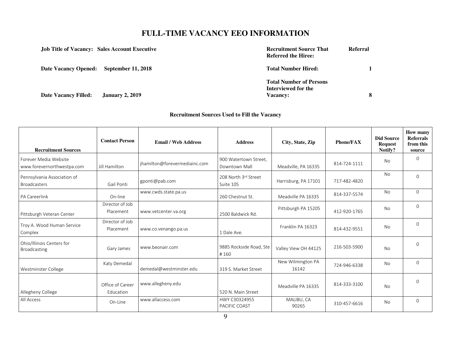## **FULL-TIME VACANCY EEO INFORMATION**

| <b>Job Title of Vacancy: Sales Account Executive</b> |                        | <b>Recruitment Source That</b><br><b>Referred the Hiree:</b>             | <b>Referral</b> |
|------------------------------------------------------|------------------------|--------------------------------------------------------------------------|-----------------|
| Date Vacancy Opened: September 11, 2018              |                        | <b>Total Number Hired:</b>                                               |                 |
| <b>Date Vacancy Filled:</b>                          | <b>January 2, 2019</b> | <b>Total Number of Persons</b><br>Interviewed for the<br><b>Vacancy:</b> |                 |

### **Recruitment Sources Used to Fill the Vacancy**

| <b>Recruitment Sources</b>                          | <b>Contact Person</b>         | <b>Email / Web Address</b>    | <b>Address</b>                         | City, State, Zip           | <b>Phone/FAX</b> | <b>Did Source</b><br><b>Request</b><br>Notify? | How many<br><b>Referrals</b><br>from this<br>source |
|-----------------------------------------------------|-------------------------------|-------------------------------|----------------------------------------|----------------------------|------------------|------------------------------------------------|-----------------------------------------------------|
| Forever Media Website<br>www.forevernorthwestpa.com | Jill Hamilton                 | jhamilton@forevermediainc.com | 900 Watertown Street,<br>Downtown Mall | Meadville, PA 16335        | 814-724-1111     | <b>No</b>                                      | $\Omega$                                            |
| Pennsylvania Association of<br><b>Broadcasters</b>  | Gail Ponti                    | gponti@pab.com                | 208 North 3rd Street<br>Suite 105      | Harrisburg, PA 17101       | 717-482-4820     | <b>No</b>                                      | $\Omega$                                            |
| PA Careerlink                                       | On-line                       | www.cwds.state.pa.us          | 260 Chestnut St.                       | Meadville PA 16335         | 814-337-5574     | <b>No</b>                                      | $\Omega$                                            |
| Pittsburgh Veteran Center                           | Director of Job<br>Placement  | www.vetcenter.va.org          | 2500 Baldwick Rd.                      | Pittsburgh PA 15205        | 412-920-1765     | <b>No</b>                                      | $\Omega$                                            |
| Troy A. Wood Human Service<br>Complex               | Director of Job<br>Placement  | www.co.venango.pa.us          | 1 Dale Ave.                            | Franklin PA 16323          | 814-432-9551     | <b>No</b>                                      | 0                                                   |
| Ohio/Illinois Centers for<br>Broadcasting           | Gary James                    | www.beonair.com               | 9885 Rockside Road, Ste<br>#160        | Valley View OH 44125       | 216-503-5900     | <b>No</b>                                      | $\Omega$                                            |
| Westminster College                                 | Katy Demedal                  | demedal@westminster.edu       | 319 S. Market Street                   | New Wilmington PA<br>16142 | 724-946-6338     | No                                             | $\Omega$                                            |
| Allegheny College                                   | Office of Career<br>Education | www.allegheny.edu             | 520 N. Main Street                     | Meadville PA 16335         | 814-333-3100     | <b>No</b>                                      | $\Omega$                                            |
| All Access                                          | On-Line                       | www.allaccess.com             | HWY C30324955<br>PACIFIC COAST         | MALIBU, CA<br>90265        | 310-457-6616     | No                                             | $\Omega$                                            |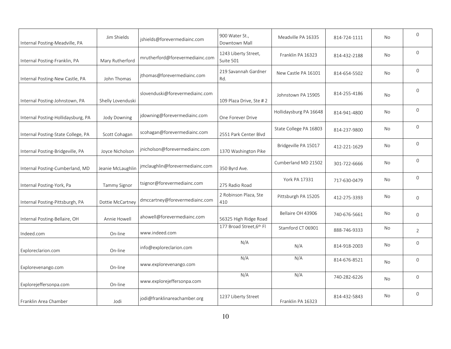| Internal Posting-Meadville, PA     | Jim Shields       | jshields@forevermediainc.com    | 900 Water St.,<br>Downtown Mall   | Meadville PA 16335     | 814-724-1111 | <b>No</b> | $\mathbf{0}$   |
|------------------------------------|-------------------|---------------------------------|-----------------------------------|------------------------|--------------|-----------|----------------|
| Internal Posting-Franklin, PA      | Mary Rutherford   | mrutherford@forevermediainc.com | 1243 Liberty Street,<br>Suite 501 | Franklin PA 16323      | 814-432-2188 | No.       | $\Omega$       |
| Internal Posting-New Castle, PA    | John Thomas       | jthomas@forevermediainc.com     | 219 Savannah Gardner<br>Rd.       | New Castle PA 16101    | 814-654-5502 | No        | $\mathbf{0}$   |
| Internal Posting-Johnstown, PA     | Shelly Lovenduski | slovenduski@forevermediainc.com | 109 Plaza Drive, Ste #2           | Johnstown PA 15905     | 814-255-4186 | <b>No</b> | $\mathbf{0}$   |
| Internal Posting-Hollidaysburg, PA | Jody Downing      | jdowning@forevermediainc.com    | One Forever Drive                 | Hollidaysburg PA 16648 | 814-941-4800 | No        | $\mathbf{0}$   |
| Internal Posting-State College, PA | Scott Cohagan     | scohagan@forevermediainc.com    | 2551 Park Center Blvd             | State College PA 16803 | 814-237-9800 | No        | $\Omega$       |
| Internal Posting-Bridgeville, PA   | Joyce Nicholson   | jnicholson@forevermediainc.com  | 1370 Washington Pike              | Bridgeville PA 15017   | 412-221-1629 | No        | $\Omega$       |
| Internal Posting-Cumberland, MD    | Jeanie McLaughlin | jmclaughlin@forevermediainc.com | 350 Byrd Ave.                     | Cumberland MD 21502    | 301-722-6666 | No        | $\mathbf 0$    |
| Internal Posting-York, Pa          | Tammy Signor      | tsignor@forevermediainc.com     | 275 Radio Road                    | York PA 17331          | 717-630-0479 | No        | $\mathbf{0}$   |
| Internal Posting-Pittsburgh, PA    | Dottie McCartney  | dmccartney@forevermediainc.com  | 2 Robinson Plaza, Ste<br>410      | Pittsburgh PA 15205    | 412-275-3393 | No        | $\overline{0}$ |
| Internal Posting-Bellaire, OH      | Annie Howell      | ahowell@forevermediainc.com     | 56325 High Ridge Road             | Bellaire OH 43906      | 740-676-5661 | No        | $\mathbf 0$    |
| Indeed.com                         | On-line           | www.indeed.com                  | 177 Broad Street, 6th Fl          | Stamford CT 06901      | 888-746-9333 | No        | 2              |
| Exploreclarion.com                 | On-line           | info@exploreclarion.com         | N/A                               | N/A                    | 814-918-2003 | No        | $\mathbf{0}$   |
| Explorevenango.com                 | On-line           | www.explorevenango.com          | N/A                               | N/A                    | 814-676-8521 | No        | $\mathbf{0}$   |
| Explorejeffersonpa.com             | On-line           | www.explorejeffersonpa.com      | N/A                               | N/A                    | 740-282-6226 | No        | $\mathbf{0}$   |
| Franklin Area Chamber              | Jodi              | jodi@franklinareachamber.org    | 1237 Liberty Street               | Franklin PA 16323      | 814-432-5843 | No        | $\mathbf{0}$   |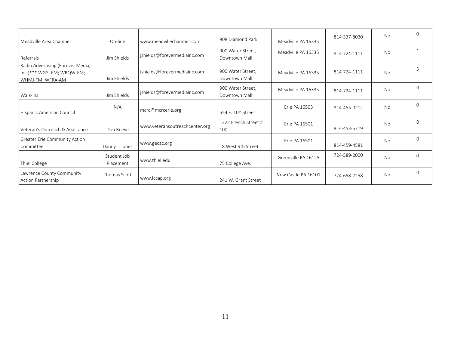| Meadville Area Chamber                                                              | On-line                  | www.meadvillechamber.com       | 908 Diamond Park                   | Meadville PA 16335  | 814-337-8030 | <b>No</b> | $\Omega$ |
|-------------------------------------------------------------------------------------|--------------------------|--------------------------------|------------------------------------|---------------------|--------------|-----------|----------|
| Referrals                                                                           | Jim Shields              | jshields@forevermediainc.com   | 900 Water Street,<br>Downtown Mall | Meadville PA 16335  | 814-724-1111 | <b>No</b> |          |
| Radio Advertising (Forever Media,<br>Inc.)*** WGYI-FM; WRQW-FM;<br>WHMJ-FM; WFRA-AM | Jim Shields              | jshields@forevermediainc.com   | 900 Water Street,<br>Downtown Mall | Meadville PA 16335  | 814-724-1111 | <b>No</b> | 5        |
| Walk-Ins                                                                            | Jim Shields              | jshields@forevermediainc.com   | 900 Water Street,<br>Downtown Mall | Meadville PA 16335  | 814-724-1111 | No        | $\Omega$ |
| Hispanic American Council                                                           | N/A                      | mcrc@mcrcerie.org              | 554 E. 10 <sup>th</sup> Street     | Frie PA 16503       | 814-455-0212 | <b>No</b> | $\Omega$ |
| Veteran's Outreach & Assistance                                                     | Don Reeve                | www.veteransoutreachcenter.org | 1222 French Street #<br>100        | Erie PA 16501       | 814-453-5719 | <b>No</b> | $\Omega$ |
| <b>Greater Erie Community Action</b><br>Committee                                   | Danny J. Jones           | www.gecac.org                  | 18 West 9th Street                 | Erie PA 16501       | 814-459-4581 | <b>No</b> | $\Omega$ |
| Thiel College                                                                       | Student Job<br>Placement | www.thiel.edu                  | 75 College Ave.                    | Greenville PA 16125 | 724-589-2000 | <b>No</b> | $\Omega$ |
| Lawrence County Community<br>Action Partnership                                     | Thomas Scott             | www.lccap.org                  | 241 W. Grant Street                | New Castle PA 16101 | 724-658-7258 | <b>No</b> | $\Omega$ |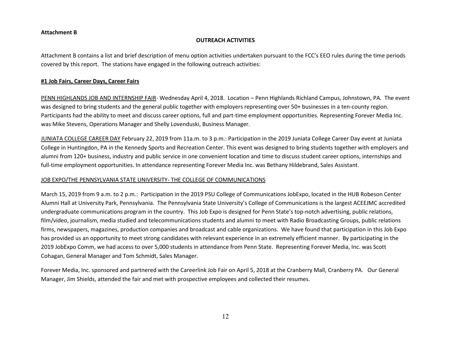#### **Attachment B**

#### **OUTREACH ACTIVITIES**

Attachment B contains a list and brief description of menu option activities undertaken pursuant to the FCC's EEO rules during the time periods covered by this report. The stations have engaged in the following outreach activities:

#### **#1 Job Fairs, Career Days, Career Fairs**

PENN HIGHLANDS JOB AND INTERNSHIP FAIR- Wednesday April 4, 2018. Location – Penn Highlands Richland Campus, Johnstown, PA. The event was designed to bring students and the general public together with employers representing over 50+ businesses in a ten-county region. Participants had the ability to meet and discuss career options, full and part-time employment opportunities. Representing Forever Media Inc. was Mike Stevens, Operations Manager and Shelly Lovenduski, Business Manager.

JUNIATA COLLEGE CAREER DAY February 22, 2019 from 11a.m. to 3 p.m.: Participation in the 2019 Juniata College Career Day event at Juniata College in Huntingdon, PA in the Kennedy Sports and Recreation Center. This event was designed to bring students together with employers and alumni from 120+ business, industry and public service in one convenient location and time to discuss student career options, internships and full-time employment opportunities. In attendance representing Forever Media Inc. was Bethany Hildebrand, Sales Assistant.

#### JOB EXPO/THE PENNSYLVANIA STATE UNIVERSITY- THE COLLEGE OF COMMUNICATIONS

March 15, 2019 from 9 a.m. to 2 p.m.: Participation in the 2019 PSU College of Communications JobExpo, located in the HUB Robeson Center Alumni Hall at University Park, Pennsylvania. The Pennsylvania State University's College of Communications is the largest ACEEJMC accredited undergraduate communications program in the country. This Job Expo is designed for Penn State's top-notch advertising, public relations, film/video, journalism, media studied and telecommunications students and alumni to meet with Radio Broadcasting Groups, public relations firms, newspapers, magazines, production companies and broadcast and cable organizations. We have found that participation in this Job Expo has provided us an opportunity to meet strong candidates with relevant experience in an extremely efficient manner. By participating in the 2019 JobExpo Comm, we had access to over 5,000 students in attendance from Penn State. Representing Forever Media, Inc. was Scott Cohagan, General Manager and Tom Schmidt, Sales Manager.

Forever Media, Inc. sponsored and partnered with the Careerlink Job Fair on April 5, 2018 at the Cranberry Mall, Cranberry PA. Our General Manager, Jim Shields, attended the fair and met with prospective employees and collected their resumes.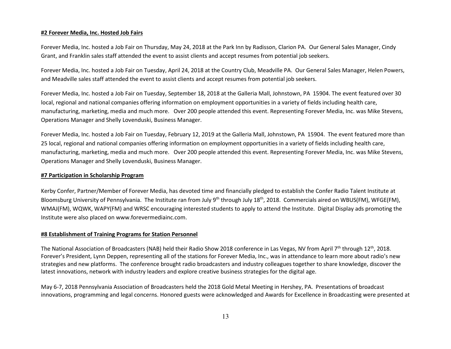#### **#2 Forever Media, Inc. Hosted Job Fairs**

Forever Media, Inc. hosted a Job Fair on Thursday, May 24, 2018 at the Park Inn by Radisson, Clarion PA. Our General Sales Manager, Cindy Grant, and Franklin sales staff attended the event to assist clients and accept resumes from potential job seekers.

Forever Media, Inc. hosted a Job Fair on Tuesday, April 24, 2018 at the Country Club, Meadville PA. Our General Sales Manager, Helen Powers, and Meadville sales staff attended the event to assist clients and accept resumes from potential job seekers.

Forever Media, Inc. hosted a Job Fair on Tuesday, September 18, 2018 at the Galleria Mall, Johnstown, PA 15904. The event featured over 30 local, regional and national companies offering information on employment opportunities in a variety of fields including health care, manufacturing, marketing, media and much more. Over 200 people attended this event. Representing Forever Media, Inc. was Mike Stevens, Operations Manager and Shelly Lovenduski, Business Manager.

Forever Media, Inc. hosted a Job Fair on Tuesday, February 12, 2019 at the Galleria Mall, Johnstown, PA 15904. The event featured more than 25 local, regional and national companies offering information on employment opportunities in a variety of fields including health care, manufacturing, marketing, media and much more. Over 200 people attended this event. Representing Forever Media, Inc. was Mike Stevens, Operations Manager and Shelly Lovenduski, Business Manager.

#### **#7 Participation in Scholarship Program**

Kerby Confer, Partner/Member of Forever Media, has devoted time and financially pledged to establish the Confer Radio Talent Institute at Bloomsburg University of Pennsylvania. The Institute ran from July 9<sup>th</sup> through July 18<sup>th</sup>, 2018. Commercials aired on WBUS(FM), WFGE(FM), WMAJ(FM), WQWK, WAPY(FM) and WRSC encouraging interested students to apply to attend the Institute. Digital Display ads promoting the Institute were also placed on www.forevermediainc.com.

#### **#8 Establishment of Training Programs for Station Personnel**

The National Association of Broadcasters (NAB) held their Radio Show 2018 conference in Las Vegas, NV from April 7<sup>th</sup> through 12<sup>th</sup>, 2018. Forever's President, Lynn Deppen, representing all of the stations for Forever Media, Inc., was in attendance to learn more about radio's new strategies and new platforms. The conference brought radio broadcasters and industry colleagues together to share knowledge, discover the latest innovations, network with industry leaders and explore creative business strategies for the digital age.

May 6-7, 2018 Pennsylvania Association of Broadcasters held the 2018 Gold Metal Meeting in Hershey, PA. Presentations of broadcast innovations, programming and legal concerns. Honored guests were acknowledged and Awards for Excellence in Broadcasting were presented at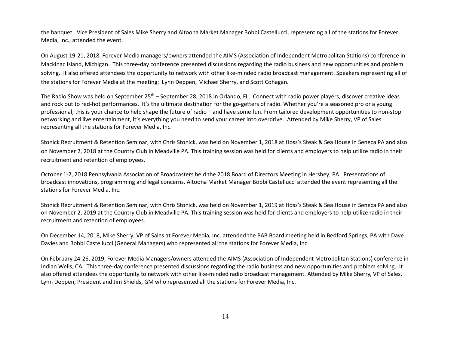the banquet. Vice President of Sales Mike Sherry and Altoona Market Manager Bobbi Castellucci, representing all of the stations for Forever Media, Inc., attended the event.

On August 19-21, 2018, Forever Media managers/owners attended the AIMS (Association of Independent Metropolitan Stations) conference in Mackinac Island, Michigan. This three-day conference presented discussions regarding the radio business and new opportunities and problem solving. It also offered attendees the opportunity to network with other like-minded radio broadcast management. Speakers representing all of the stations for Forever Media at the meeting: Lynn Deppen, Michael Sherry, and Scott Cohagan.

The Radio Show was held on September 25<sup>th</sup> – September 28, 2018 in Orlando, FL. Connect with radio power players, discover creative ideas and rock out to red-hot performances. It's the ultimate destination for the go-getters of radio. Whether you're a seasoned pro or a young professional, this is your chance to help shape the future of radio – and have some fun. From tailored development opportunities to non-stop networking and live entertainment, it's everything you need to send your career into overdrive. Attended by Mike Sherry, VP of Sales representing all the stations for Forever Media, Inc.

Stonick Recruitment & Retention Seminar, with Chris Stonick, was held on November 1, 2018 at Hoss's Steak & Sea House in Seneca PA and also on November 2, 2018 at the Country Club in Meadville PA. This training session was held for clients and employers to help utilize radio in their recruitment and retention of employees.

October 1-2, 2018 Pennsylvania Association of Broadcasters held the 2018 Board of Directors Meeting in Hershey, PA. Presentations of broadcast innovations, programming and legal concerns. Altoona Market Manager Bobbi Castellucci attended the event representing all the stations for Forever Media, Inc.

Stonick Recruitment & Retention Seminar, with Chris Stonick, was held on November 1, 2019 at Hoss's Steak & Sea House in Seneca PA and also on November 2, 2019 at the Country Club in Meadville PA. This training session was held for clients and employers to help utilize radio in their recruitment and retention of employees.

On December 14, 2018, Mike Sherry, VP of Sales at Forever Media, Inc. attended the PAB Board meeting held in Bedford Springs, PA with Dave Davies and Bobbi Castellucci (General Managers) who represented all the stations for Forever Media, Inc.

On February 24-26, 2019, Forever Media Managers/owners attended the AIMS (Association of Independent Metropolitan Stations) conference in Indian Wells, CA. This three-day conference presented discussions regarding the radio business and new opportunities and problem solving. It also offered attendees the opportunity to network with other like-minded radio broadcast management. Attended by Mike Sherry, VP of Sales, Lynn Deppen, President and Jim Shields, GM who represented all the stations for Forever Media, Inc.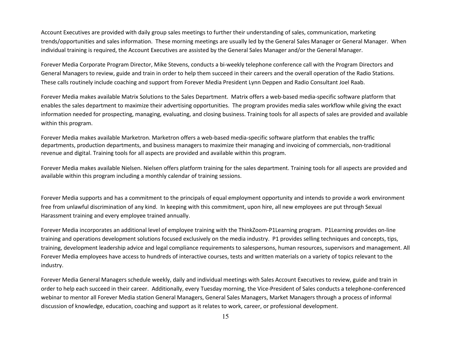Account Executives are provided with daily group sales meetings to further their understanding of sales, communication, marketing trends/opportunities and sales information. These morning meetings are usually led by the General Sales Manager or General Manager. When individual training is required, the Account Executives are assisted by the General Sales Manager and/or the General Manager.

Forever Media Corporate Program Director, Mike Stevens, conducts a bi-weekly telephone conference call with the Program Directors and General Managers to review, guide and train in order to help them succeed in their careers and the overall operation of the Radio Stations. These calls routinely include coaching and support from Forever Media President Lynn Deppen and Radio Consultant Joel Raab.

Forever Media makes available Matrix Solutions to the Sales Department. Matrix offers a web-based media-specific software platform that enables the sales department to maximize their advertising opportunities. The program provides media sales workflow while giving the exact information needed for prospecting, managing, evaluating, and closing business. Training tools for all aspects of sales are provided and available within this program.

Forever Media makes available Marketron. Marketron offers a web-based media-specific software platform that enables the traffic departments, production departments, and business managers to maximize their managing and invoicing of commercials, non-traditional revenue and digital. Training tools for all aspects are provided and available within this program.

Forever Media makes available Nielsen. Nielsen offers platform training for the sales department. Training tools for all aspects are provided and available within this program including a monthly calendar of training sessions.

Forever Media supports and has a commitment to the principals of equal employment opportunity and intends to provide a work environment free from unlawful discrimination of any kind. In keeping with this commitment, upon hire, all new employees are put through Sexual Harassment training and every employee trained annually.

Forever Media incorporates an additional level of employee training with the ThinkZoom-P1Learning program. P1Learning provides on-line training and operations development solutions focused exclusively on the media industry. P1 provides selling techniques and concepts, tips, training, development leadership advice and legal compliance requirements to salespersons, human resources, supervisors and management. All Forever Media employees have access to hundreds of interactive courses, tests and written materials on a variety of topics relevant to the industry.

Forever Media General Managers schedule weekly, daily and individual meetings with Sales Account Executives to review, guide and train in order to help each succeed in their career. Additionally, every Tuesday morning, the Vice-President of Sales conducts a telephone-conferenced webinar to mentor all Forever Media station General Managers, General Sales Managers, Market Managers through a process of informal discussion of knowledge, education, coaching and support as it relates to work, career, or professional development.